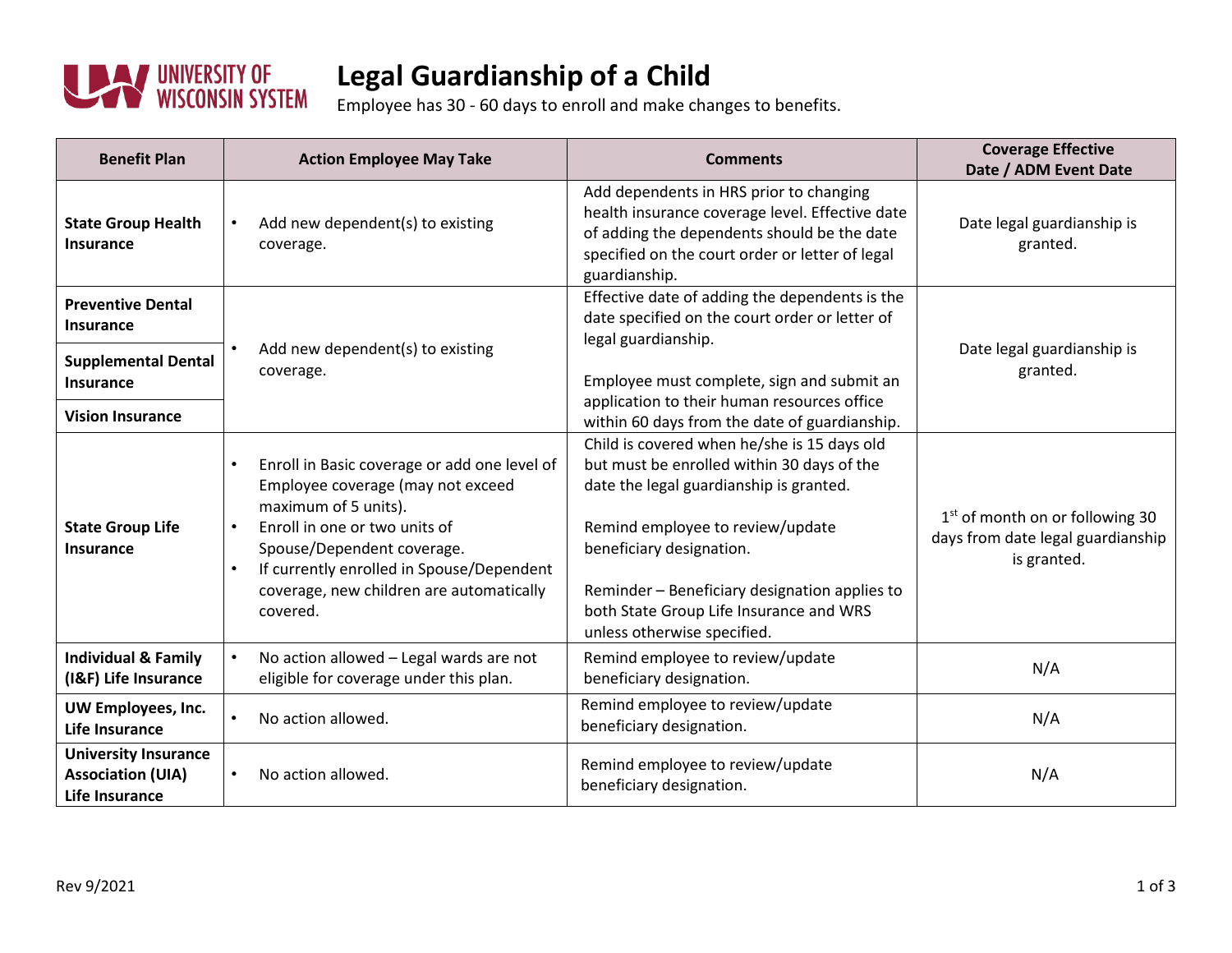

## **Legal Guardianship of a Child**

Employee has 30 - 60 days to enroll and make changes to benefits.

| <b>Benefit Plan</b>                                                              | <b>Action Employee May Take</b>                                                                                                                                                                                                                                                                         | <b>Comments</b>                                                                                                                                                                                                                                                                                                                 | <b>Coverage Effective</b><br>Date / ADM Event Date                                              |
|----------------------------------------------------------------------------------|---------------------------------------------------------------------------------------------------------------------------------------------------------------------------------------------------------------------------------------------------------------------------------------------------------|---------------------------------------------------------------------------------------------------------------------------------------------------------------------------------------------------------------------------------------------------------------------------------------------------------------------------------|-------------------------------------------------------------------------------------------------|
| <b>State Group Health</b><br><b>Insurance</b>                                    | Add new dependent(s) to existing<br>coverage.                                                                                                                                                                                                                                                           | Add dependents in HRS prior to changing<br>health insurance coverage level. Effective date<br>of adding the dependents should be the date<br>specified on the court order or letter of legal<br>guardianship.                                                                                                                   | Date legal guardianship is<br>granted.                                                          |
| <b>Preventive Dental</b><br><b>Insurance</b>                                     | Add new dependent(s) to existing<br>coverage.                                                                                                                                                                                                                                                           | Effective date of adding the dependents is the<br>date specified on the court order or letter of<br>legal guardianship.                                                                                                                                                                                                         |                                                                                                 |
| <b>Supplemental Dental</b><br>Insurance                                          |                                                                                                                                                                                                                                                                                                         | Employee must complete, sign and submit an<br>application to their human resources office                                                                                                                                                                                                                                       | Date legal guardianship is<br>granted.                                                          |
| <b>Vision Insurance</b>                                                          |                                                                                                                                                                                                                                                                                                         | within 60 days from the date of guardianship.                                                                                                                                                                                                                                                                                   |                                                                                                 |
| <b>State Group Life</b><br><b>Insurance</b>                                      | Enroll in Basic coverage or add one level of<br>Employee coverage (may not exceed<br>maximum of 5 units).<br>Enroll in one or two units of<br>$\bullet$<br>Spouse/Dependent coverage.<br>If currently enrolled in Spouse/Dependent<br>$\bullet$<br>coverage, new children are automatically<br>covered. | Child is covered when he/she is 15 days old<br>but must be enrolled within 30 days of the<br>date the legal guardianship is granted.<br>Remind employee to review/update<br>beneficiary designation.<br>Reminder - Beneficiary designation applies to<br>both State Group Life Insurance and WRS<br>unless otherwise specified. | 1 <sup>st</sup> of month on or following 30<br>days from date legal guardianship<br>is granted. |
| <b>Individual &amp; Family</b><br>(I&F) Life Insurance                           | No action allowed - Legal wards are not<br>eligible for coverage under this plan.                                                                                                                                                                                                                       | Remind employee to review/update<br>beneficiary designation.                                                                                                                                                                                                                                                                    | N/A                                                                                             |
| UW Employees, Inc.<br>Life Insurance                                             | No action allowed.                                                                                                                                                                                                                                                                                      | Remind employee to review/update<br>beneficiary designation.                                                                                                                                                                                                                                                                    | N/A                                                                                             |
| <b>University Insurance</b><br><b>Association (UIA)</b><br><b>Life Insurance</b> | No action allowed.                                                                                                                                                                                                                                                                                      | Remind employee to review/update<br>beneficiary designation.                                                                                                                                                                                                                                                                    | N/A                                                                                             |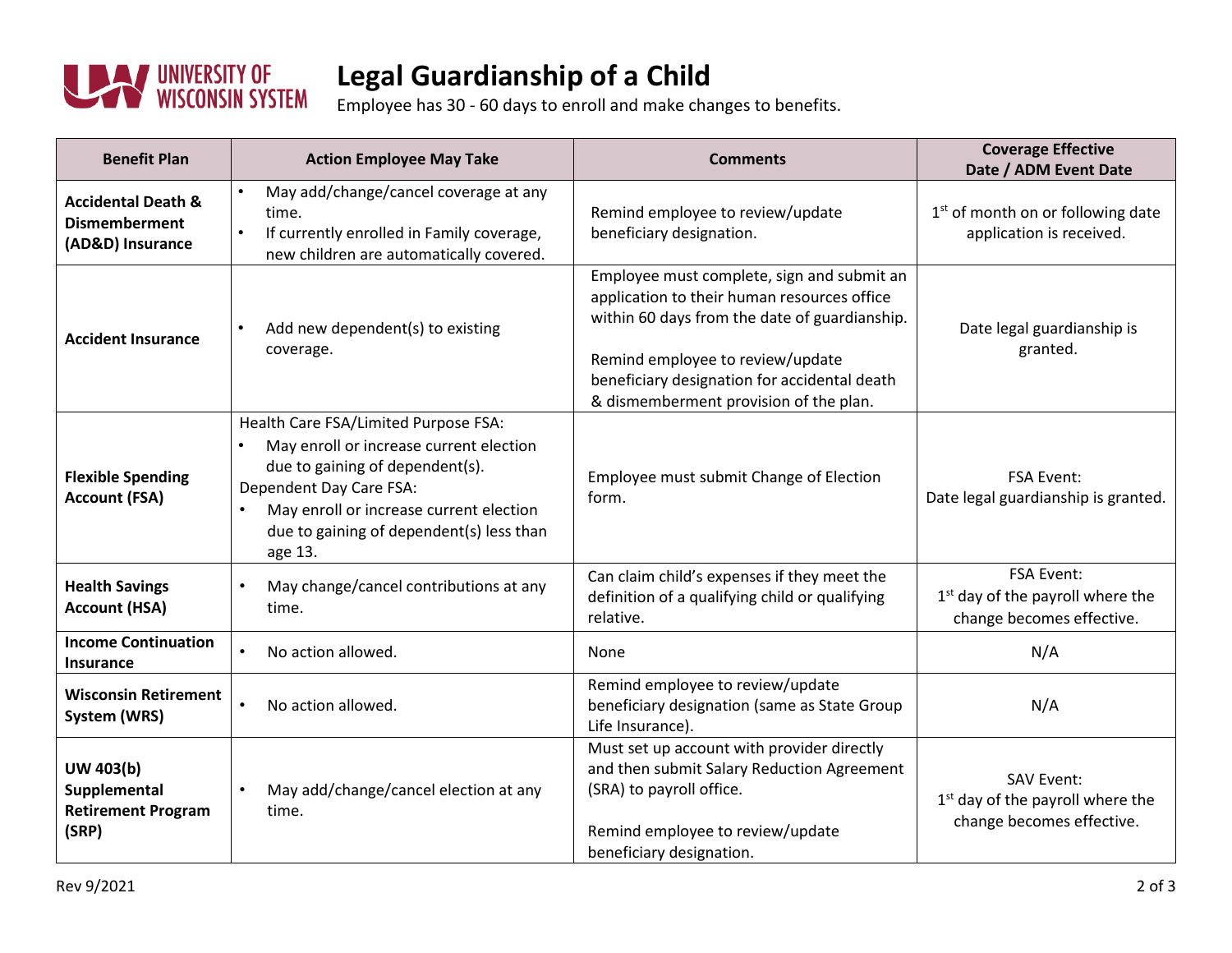

## **Legal Guardianship of a Child**

Employee has 30 - 60 days to enroll and make changes to benefits.

| <b>Benefit Plan</b>                                                       | <b>Action Employee May Take</b>                                                                                                                                                                                                                              | <b>Comments</b>                                                                                                                                                                                                                                                          | <b>Coverage Effective</b><br>Date / ADM Event Date                                             |
|---------------------------------------------------------------------------|--------------------------------------------------------------------------------------------------------------------------------------------------------------------------------------------------------------------------------------------------------------|--------------------------------------------------------------------------------------------------------------------------------------------------------------------------------------------------------------------------------------------------------------------------|------------------------------------------------------------------------------------------------|
| <b>Accidental Death &amp;</b><br><b>Dismemberment</b><br>(AD&D) Insurance | May add/change/cancel coverage at any<br>$\bullet$<br>time.<br>If currently enrolled in Family coverage,<br>$\bullet$<br>new children are automatically covered.                                                                                             | Remind employee to review/update<br>beneficiary designation.                                                                                                                                                                                                             | 1 <sup>st</sup> of month on or following date<br>application is received.                      |
| <b>Accident Insurance</b>                                                 | Add new dependent(s) to existing<br>$\bullet$<br>coverage.                                                                                                                                                                                                   | Employee must complete, sign and submit an<br>application to their human resources office<br>within 60 days from the date of guardianship.<br>Remind employee to review/update<br>beneficiary designation for accidental death<br>& dismemberment provision of the plan. | Date legal guardianship is<br>granted.                                                         |
| <b>Flexible Spending</b><br><b>Account (FSA)</b>                          | Health Care FSA/Limited Purpose FSA:<br>May enroll or increase current election<br>due to gaining of dependent(s).<br>Dependent Day Care FSA:<br>May enroll or increase current election<br>$\bullet$<br>due to gaining of dependent(s) less than<br>age 13. | Employee must submit Change of Election<br>form.                                                                                                                                                                                                                         | <b>FSA Event:</b><br>Date legal guardianship is granted.                                       |
| <b>Health Savings</b><br><b>Account (HSA)</b>                             | May change/cancel contributions at any<br>$\bullet$<br>time.                                                                                                                                                                                                 | Can claim child's expenses if they meet the<br>definition of a qualifying child or qualifying<br>relative.                                                                                                                                                               | <b>FSA Event:</b><br>1 <sup>st</sup> day of the payroll where the<br>change becomes effective. |
| <b>Income Continuation</b><br>Insurance                                   | No action allowed.<br>$\bullet$                                                                                                                                                                                                                              | None                                                                                                                                                                                                                                                                     | N/A                                                                                            |
| <b>Wisconsin Retirement</b><br>System (WRS)                               | $\bullet$<br>No action allowed.                                                                                                                                                                                                                              | Remind employee to review/update<br>beneficiary designation (same as State Group<br>Life Insurance).                                                                                                                                                                     | N/A                                                                                            |
| UW 403(b)<br>Supplemental<br><b>Retirement Program</b><br>(SRP)           | May add/change/cancel election at any<br>$\bullet$<br>time.                                                                                                                                                                                                  | Must set up account with provider directly<br>and then submit Salary Reduction Agreement<br>(SRA) to payroll office.<br>Remind employee to review/update<br>beneficiary designation.                                                                                     | <b>SAV Event:</b><br>1 <sup>st</sup> day of the payroll where the<br>change becomes effective. |